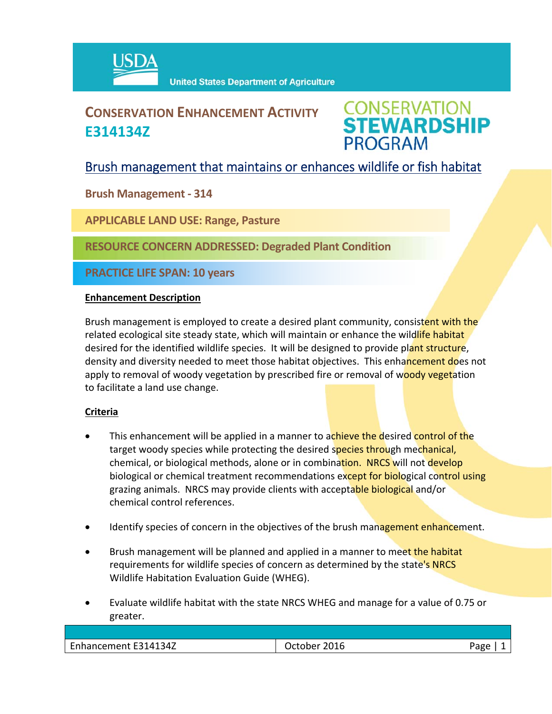

# **CONSERVATION ENHANCEMENT ACTIVITY E314134Z**



## Brush management that maintains or enhances wildlife or fish habitat

**Brush Management ‐ 314**

**APPLICABLE LAND USE: Range, Pasture**

**RESOURCE CONCERN ADDRESSED: Degraded Plant Condition** 

**PRACTICE LIFE SPAN: 10 years**

### **Enhancement Description**

Brush management is employed to create a desired plant community, consistent with the related ecological site steady state, which will maintain or enhance the wildlife habitat desired for the identified wildlife species. It will be designed to provide plant structure, density and diversity needed to meet those habitat objectives. This enhancement does not apply to removal of woody vegetation by prescribed fire or removal of woody vegetation to facilitate a land use change.

### **Criteria**

- This enhancement will be applied in a manner to achieve the desired control of the target woody species while protecting the desired species through mechanical, chemical, or biological methods, alone or in combination. NRCS will not develop biological or chemical treatment recommendations except for biological control using grazing animals. NRCS may provide clients with acceptable biological and/or chemical control references.
- Identify species of concern in the objectives of the brush management enhancement.
- Brush management will be planned and applied in a manner to meet the habitat requirements for wildlife species of concern as determined by the state's NRCS Wildlife Habitation Evaluation Guide (WHEG).
- Evaluate wildlife habitat with the state NRCS WHEG and manage for a value of 0.75 or greater.

| $\overline{\phantom{0}}$                 |                       |
|------------------------------------------|-----------------------|
| 14134Z<br>2016<br>Enhancement E31/<br>ne | Pape<br>$\mathcal{L}$ |